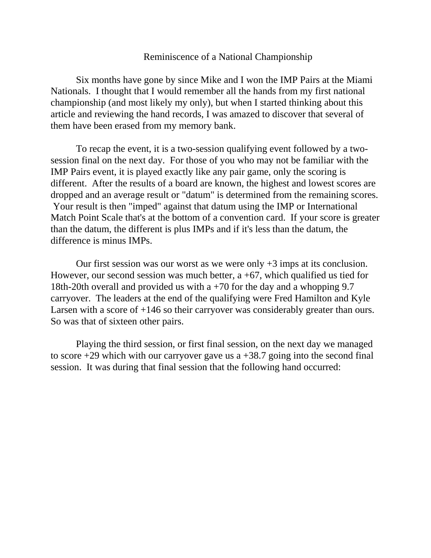## Reminiscence of a National Championship

Six months have gone by since Mike and I won the IMP Pairs at the Miami Nationals. I thought that I would remember all the hands from my first national championship (and most likely my only), but when I started thinking about this article and reviewing the hand records, I was amazed to discover that several of them have been erased from my memory bank.

To recap the event, it is a two-session qualifying event followed by a twosession final on the next day. For those of you who may not be familiar with the IMP Pairs event, it is played exactly like any pair game, only the scoring is different. After the results of a board are known, the highest and lowest scores are dropped and an average result or "datum" is determined from the remaining scores. Your result is then "imped" against that datum using the IMP or International Match Point Scale that's at the bottom of a convention card. If your score is greater than the datum, the different is plus IMPs and if it's less than the datum, the difference is minus IMPs.

Our first session was our worst as we were only  $+3$  imps at its conclusion. However, our second session was much better,  $a + 67$ , which qualified us tied for 18th-20th overall and provided us with a +70 for the day and a whopping 9.7 carryover. The leaders at the end of the qualifying were Fred Hamilton and Kyle Larsen with a score of  $+146$  so their carryover was considerably greater than ours. So was that of sixteen other pairs.

Playing the third session, or first final session, on the next day we managed to score  $+29$  which with our carryover gave us a  $+38.7$  going into the second final session. It was during that final session that the following hand occurred: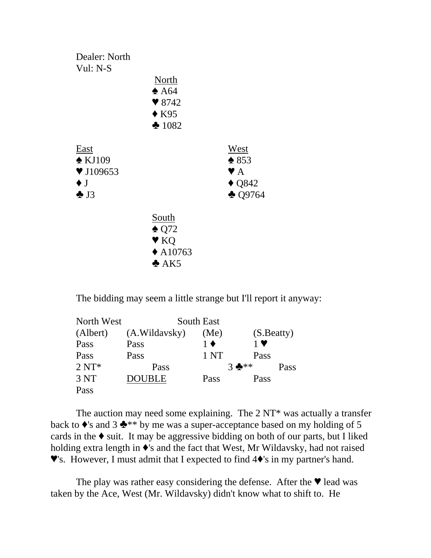

The bidding may seem a little strange but I'll report it anyway:

| North West      | South East    |                   |             |      |
|-----------------|---------------|-------------------|-------------|------|
| (Albert)        | (A.Wildavsky) | (Me)              | (S. Beatty) |      |
| Pass            | Pass          | $1 \blacklozenge$ | $1$ V       |      |
| Pass            | Pass          | 1 NT              | Pass        |      |
| $2 N T^*$       | Pass          |                   | $3 + *$     | Pass |
| 3 <sub>NT</sub> | <b>DOUBLE</b> | Pass              | Pass        |      |
| Pass            |               |                   |             |      |

The auction may need some explaining. The  $2NT^*$  was actually a transfer back to  $\bullet$ 's and 3  $\bullet$ <sup>\*\*</sup> by me was a super-acceptance based on my holding of 5 cards in the  $\bullet$  suit. It may be aggressive bidding on both of our parts, but I liked holding extra length in  $\bullet$ 's and the fact that West, Mr Wildavsky, had not raised  $\blacktriangledown$ 's. However, I must admit that I expected to find  $4\blacklozenge$ 's in my partner's hand.

The play was rather easy considering the defense. After the  $\blacktriangledown$  lead was taken by the Ace, West (Mr. Wildavsky) didn't know what to shift to. He